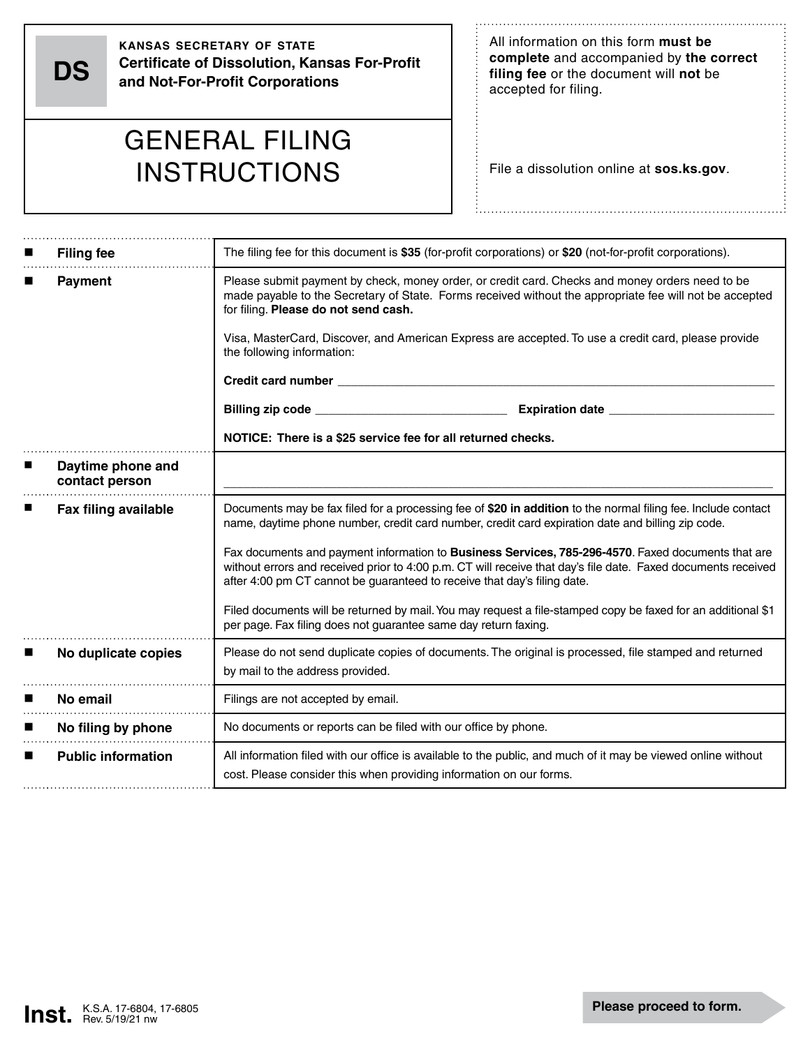**DS**

**kansas secretary of state Certificate of Dissolution, Kansas For-Profit and Not-For-Profit Corporations**

All information on this form **must be complete** and accompanied by **the correct filing fee** or the document will **not** be accepted for filing.

## GENERAL FILING **INSTRUCTIONS**

File a dissolution online at **sos.ks.gov**.

| <b>Filing fee</b>                   | The filing fee for this document is \$35 (for-profit corporations) or \$20 (not-for-profit corporations).                                                                                                                                                                                                                                                                               |  |  |  |  |  |  |
|-------------------------------------|-----------------------------------------------------------------------------------------------------------------------------------------------------------------------------------------------------------------------------------------------------------------------------------------------------------------------------------------------------------------------------------------|--|--|--|--|--|--|
| <b>Payment</b>                      | Please submit payment by check, money order, or credit card. Checks and money orders need to be<br>made payable to the Secretary of State. Forms received without the appropriate fee will not be accepted<br>for filing. Please do not send cash.<br>Visa, MasterCard, Discover, and American Express are accepted. To use a credit card, please provide<br>the following information: |  |  |  |  |  |  |
|                                     |                                                                                                                                                                                                                                                                                                                                                                                         |  |  |  |  |  |  |
|                                     | <b>Credit card number experience of the contract of the contract of the contract of the contract of the contract of the contract of the contract of the contract of the contract of the contract of the contract of the contract</b>                                                                                                                                                    |  |  |  |  |  |  |
|                                     |                                                                                                                                                                                                                                                                                                                                                                                         |  |  |  |  |  |  |
|                                     | NOTICE: There is a \$25 service fee for all returned checks.                                                                                                                                                                                                                                                                                                                            |  |  |  |  |  |  |
| Daytime phone and<br>contact person |                                                                                                                                                                                                                                                                                                                                                                                         |  |  |  |  |  |  |
| <b>Fax filing available</b>         | Documents may be fax filed for a processing fee of \$20 in addition to the normal filing fee. Include contact<br>name, daytime phone number, credit card number, credit card expiration date and billing zip code.                                                                                                                                                                      |  |  |  |  |  |  |
|                                     | Fax documents and payment information to Business Services, 785-296-4570. Faxed documents that are<br>without errors and received prior to 4:00 p.m. CT will receive that day's file date. Faxed documents received<br>after 4:00 pm CT cannot be guaranteed to receive that day's filing date.                                                                                         |  |  |  |  |  |  |
|                                     | Filed documents will be returned by mail. You may request a file-stamped copy be faxed for an additional \$1<br>per page. Fax filing does not guarantee same day return faxing.                                                                                                                                                                                                         |  |  |  |  |  |  |
| No duplicate copies                 | Please do not send duplicate copies of documents. The original is processed, file stamped and returned<br>by mail to the address provided.                                                                                                                                                                                                                                              |  |  |  |  |  |  |
| No email                            | Filings are not accepted by email.                                                                                                                                                                                                                                                                                                                                                      |  |  |  |  |  |  |
| No filing by phone                  | No documents or reports can be filed with our office by phone.                                                                                                                                                                                                                                                                                                                          |  |  |  |  |  |  |
| <b>Public information</b>           | All information filed with our office is available to the public, and much of it may be viewed online without<br>cost. Please consider this when providing information on our forms.                                                                                                                                                                                                    |  |  |  |  |  |  |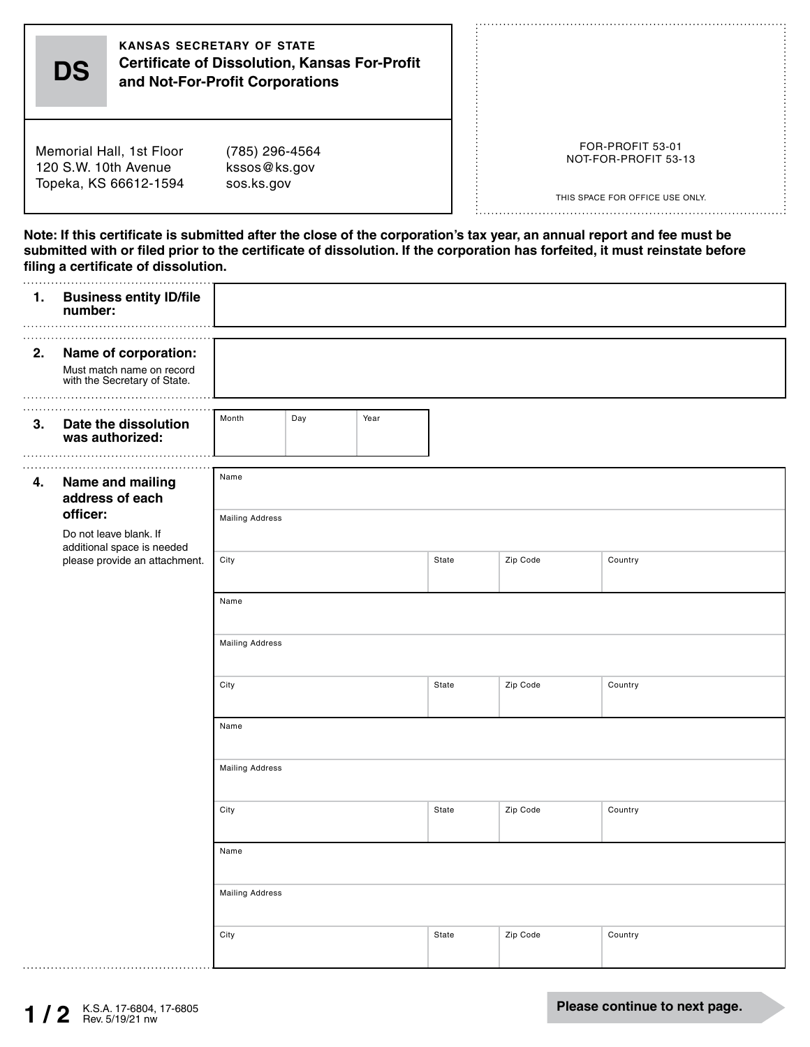| FOR-PROFIT 53-01<br>(785) 296-4564<br>NOT-FOR-PROFIT 53-13<br>kssos@ks.gov<br>sos.ks.gov<br>THIS SPACE FOR OFFICE USE ONLY.<br>Note: If this certificate is submitted after the close of the corporation's tax year, an annual report and fee must be<br>submitted with or filed prior to the certificate of dissolution. If the corporation has forfeited, it must reinstate before<br>filing a certificate of dissolution.<br><b>Business entity ID/file</b><br>number:<br>Name of corporation:<br>Must match name on record<br>with the Secretary of State.<br>Month<br>Day<br>Year<br>Date the dissolution<br>was authorized:<br>Name<br>Name and mailing<br>address of each<br>officer:<br><b>Mailing Address</b><br>Do not leave blank. If<br>additional space is needed<br>City<br>Zip Code<br>please provide an attachment.<br>State<br>Country |                                                                           | <b>KANSAS SECRETARY OF STATE</b><br><b>Certificate of Dissolution, Kansas For-Profit</b><br><b>DS</b><br>and Not-For-Profit Corporations |  |  |  |  |  |  |  |  |
|---------------------------------------------------------------------------------------------------------------------------------------------------------------------------------------------------------------------------------------------------------------------------------------------------------------------------------------------------------------------------------------------------------------------------------------------------------------------------------------------------------------------------------------------------------------------------------------------------------------------------------------------------------------------------------------------------------------------------------------------------------------------------------------------------------------------------------------------------------|---------------------------------------------------------------------------|------------------------------------------------------------------------------------------------------------------------------------------|--|--|--|--|--|--|--|--|
|                                                                                                                                                                                                                                                                                                                                                                                                                                                                                                                                                                                                                                                                                                                                                                                                                                                         | Memorial Hall, 1st Floor<br>120 S.W. 10th Avenue<br>Topeka, KS 66612-1594 |                                                                                                                                          |  |  |  |  |  |  |  |  |
|                                                                                                                                                                                                                                                                                                                                                                                                                                                                                                                                                                                                                                                                                                                                                                                                                                                         |                                                                           |                                                                                                                                          |  |  |  |  |  |  |  |  |
|                                                                                                                                                                                                                                                                                                                                                                                                                                                                                                                                                                                                                                                                                                                                                                                                                                                         |                                                                           |                                                                                                                                          |  |  |  |  |  |  |  |  |
|                                                                                                                                                                                                                                                                                                                                                                                                                                                                                                                                                                                                                                                                                                                                                                                                                                                         | 1.<br>2.                                                                  |                                                                                                                                          |  |  |  |  |  |  |  |  |
|                                                                                                                                                                                                                                                                                                                                                                                                                                                                                                                                                                                                                                                                                                                                                                                                                                                         |                                                                           |                                                                                                                                          |  |  |  |  |  |  |  |  |
|                                                                                                                                                                                                                                                                                                                                                                                                                                                                                                                                                                                                                                                                                                                                                                                                                                                         | 3 <sub>1</sub><br>4.                                                      |                                                                                                                                          |  |  |  |  |  |  |  |  |

City State Zip Code Country

City State Zip Code Country

City State Zip Code Country

.................................

Name

Name

Mailing Address

Mailing Address